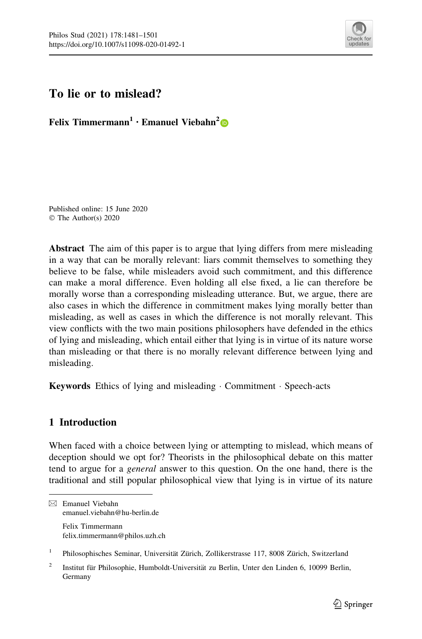

# To lie or to mislead?

Felix Timmermann<sup>1</sup> • Emanuel Viebahn<sup>2</sup>

Published online: 15 June 2020 © The Author(s) 2020

Abstract The aim of this paper is to argue that lying differs from mere misleading in a way that can be morally relevant: liars commit themselves to something they believe to be false, while misleaders avoid such commitment, and this difference can make a moral difference. Even holding all else fixed, a lie can therefore be morally worse than a corresponding misleading utterance. But, we argue, there are also cases in which the difference in commitment makes lying morally better than misleading, as well as cases in which the difference is not morally relevant. This view conflicts with the two main positions philosophers have defended in the ethics of lying and misleading, which entail either that lying is in virtue of its nature worse than misleading or that there is no morally relevant difference between lying and misleading.

Keywords Ethics of lying and misleading · Commitment · Speech-acts

# 1 Introduction

When faced with a choice between lying or attempting to mislead, which means of deception should we opt for? Theorists in the philosophical debate on this matter tend to argue for a general answer to this question. On the one hand, there is the traditional and still popular philosophical view that lying is in virtue of its nature

<sup>1</sup> Philosophisches Seminar, Universität Zürich, Zollikerstrasse 117, 8008 Zürich, Switzerland

<sup>&</sup>amp; Emanuel Viebahn emanuel.viebahn@hu-berlin.de Felix Timmermann felix.timmermann@philos.uzh.ch

Institut für Philosophie, Humboldt-Universität zu Berlin, Unter den Linden 6, 10099 Berlin, Germany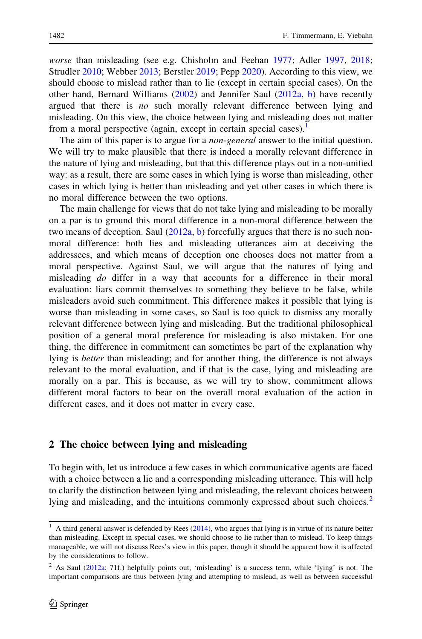worse than misleading (see e.g. Chisholm and Feehan [1977](#page-20-0); Adler [1997,](#page-19-0) [2018;](#page-19-0) Strudler [2010;](#page-20-0) Webber [2013](#page-20-0); Berstler [2019;](#page-19-0) Pepp [2020](#page-20-0)). According to this view, we should choose to mislead rather than to lie (except in certain special cases). On the other hand, Bernard Williams [\(2002](#page-20-0)) and Jennifer Saul ([2012a](#page-20-0), [b\)](#page-20-0) have recently argued that there is no such morally relevant difference between lying and misleading. On this view, the choice between lying and misleading does not matter from a moral perspective (again, except in certain special cases).

The aim of this paper is to argue for a *non-general* answer to the initial question. We will try to make plausible that there is indeed a morally relevant difference in the nature of lying and misleading, but that this difference plays out in a non-unified way: as a result, there are some cases in which lying is worse than misleading, other cases in which lying is better than misleading and yet other cases in which there is no moral difference between the two options.

The main challenge for views that do not take lying and misleading to be morally on a par is to ground this moral difference in a non-moral difference between the two means of deception. Saul  $(2012a, b)$  $(2012a, b)$  $(2012a, b)$  $(2012a, b)$  $(2012a, b)$  forcefully argues that there is no such nonmoral difference: both lies and misleading utterances aim at deceiving the addressees, and which means of deception one chooses does not matter from a moral perspective. Against Saul, we will argue that the natures of lying and misleading *do* differ in a way that accounts for a difference in their moral evaluation: liars commit themselves to something they believe to be false, while misleaders avoid such commitment. This difference makes it possible that lying is worse than misleading in some cases, so Saul is too quick to dismiss any morally relevant difference between lying and misleading. But the traditional philosophical position of a general moral preference for misleading is also mistaken. For one thing, the difference in commitment can sometimes be part of the explanation why lying is *better* than misleading; and for another thing, the difference is not always relevant to the moral evaluation, and if that is the case, lying and misleading are morally on a par. This is because, as we will try to show, commitment allows different moral factors to bear on the overall moral evaluation of the action in different cases, and it does not matter in every case.

#### 2 The choice between lying and misleading

To begin with, let us introduce a few cases in which communicative agents are faced with a choice between a lie and a corresponding misleading utterance. This will help to clarify the distinction between lying and misleading, the relevant choices between lying and misleading, and the intuitions commonly expressed about such choices.<sup>2</sup>

 $1$  A third general answer is defended by Rees [\(2014\)](#page-20-0), who argues that lying is in virtue of its nature better than misleading. Except in special cases, we should choose to lie rather than to mislead. To keep things manageable, we will not discuss Rees's view in this paper, though it should be apparent how it is affected by the considerations to follow.

<sup>2</sup> As Saul ([2012a](#page-20-0): 71f.) helpfully points out, 'misleading' is a success term, while 'lying' is not. The important comparisons are thus between lying and attempting to mislead, as well as between successful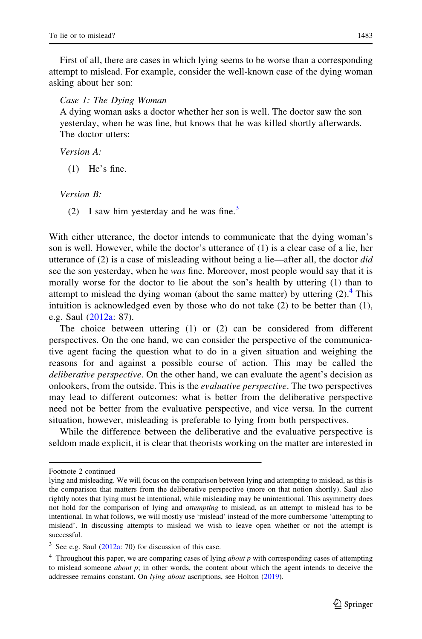First of all, there are cases in which lying seems to be worse than a corresponding attempt to mislead. For example, consider the well-known case of the dying woman asking about her son:

Case 1: The Dying Woman

A dying woman asks a doctor whether her son is well. The doctor saw the son yesterday, when he was fine, but knows that he was killed shortly afterwards. The doctor utters:

Version A:

(1) He's fine.

Version B:

(2) I saw him yesterday and he was fine.<sup>3</sup>

With either utterance, the doctor intends to communicate that the dying woman's son is well. However, while the doctor's utterance of (1) is a clear case of a lie, her utterance of  $(2)$  is a case of misleading without being a lie—after all, the doctor *did* see the son yesterday, when he *was* fine. Moreover, most people would say that it is morally worse for the doctor to lie about the son's health by uttering (1) than to attempt to mislead the dying woman (about the same matter) by uttering  $(2)$ .<sup>4</sup> This intuition is acknowledged even by those who do not take (2) to be better than (1), e.g. Saul [\(2012a:](#page-20-0) 87).

The choice between uttering (1) or (2) can be considered from different perspectives. On the one hand, we can consider the perspective of the communicative agent facing the question what to do in a given situation and weighing the reasons for and against a possible course of action. This may be called the deliberative perspective. On the other hand, we can evaluate the agent's decision as onlookers, from the outside. This is the evaluative perspective. The two perspectives may lead to different outcomes: what is better from the deliberative perspective need not be better from the evaluative perspective, and vice versa. In the current situation, however, misleading is preferable to lying from both perspectives.

While the difference between the deliberative and the evaluative perspective is seldom made explicit, it is clear that theorists working on the matter are interested in

Footnote 2 continued

lying and misleading. We will focus on the comparison between lying and attempting to mislead, as this is the comparison that matters from the deliberative perspective (more on that notion shortly). Saul also rightly notes that lying must be intentional, while misleading may be unintentional. This asymmetry does not hold for the comparison of lying and *attempting* to mislead, as an attempt to mislead has to be intentional. In what follows, we will mostly use 'mislead' instead of the more cumbersome 'attempting to mislead'. In discussing attempts to mislead we wish to leave open whether or not the attempt is successful.

 $3$  See e.g. Saul ([2012a](#page-20-0): 70) for discussion of this case.

 $4$  Throughout this paper, we are comparing cases of lying *about p* with corresponding cases of attempting to mislead someone *about* p; in other words, the content about which the agent intends to deceive the addressee remains constant. On lying about ascriptions, see Holton ([2019\)](#page-20-0).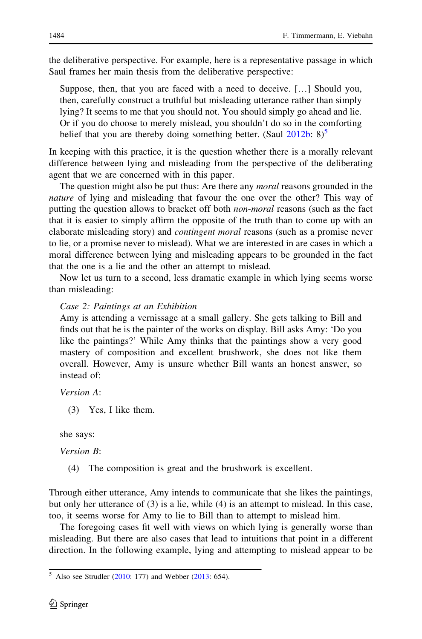the deliberative perspective. For example, here is a representative passage in which Saul frames her main thesis from the deliberative perspective:

Suppose, then, that you are faced with a need to deceive. […] Should you, then, carefully construct a truthful but misleading utterance rather than simply lying? It seems to me that you should not. You should simply go ahead and lie. Or if you do choose to merely mislead, you shouldn't do so in the comforting belief that you are thereby doing something better. (Saul  $2012b: 8$  $2012b: 8$ )<sup>5</sup>

In keeping with this practice, it is the question whether there is a morally relevant difference between lying and misleading from the perspective of the deliberating agent that we are concerned with in this paper.

The question might also be put thus: Are there any *moral* reasons grounded in the nature of lying and misleading that favour the one over the other? This way of putting the question allows to bracket off both *non-moral* reasons (such as the fact that it is easier to simply affirm the opposite of the truth than to come up with an elaborate misleading story) and *contingent moral* reasons (such as a promise never to lie, or a promise never to mislead). What we are interested in are cases in which a moral difference between lying and misleading appears to be grounded in the fact that the one is a lie and the other an attempt to mislead.

Now let us turn to a second, less dramatic example in which lying seems worse than misleading:

## Case 2: Paintings at an Exhibition

Amy is attending a vernissage at a small gallery. She gets talking to Bill and finds out that he is the painter of the works on display. Bill asks Amy: 'Do you like the paintings?' While Amy thinks that the paintings show a very good mastery of composition and excellent brushwork, she does not like them overall. However, Amy is unsure whether Bill wants an honest answer, so instead of:

Version A:

(3) Yes, I like them.

she says:

Version B:

(4) The composition is great and the brushwork is excellent.

Through either utterance, Amy intends to communicate that she likes the paintings, but only her utterance of (3) is a lie, while (4) is an attempt to mislead. In this case, too, it seems worse for Amy to lie to Bill than to attempt to mislead him.

The foregoing cases fit well with views on which lying is generally worse than misleading. But there are also cases that lead to intuitions that point in a different direction. In the following example, lying and attempting to mislead appear to be

 $5$  Also see Strudler [\(2010](#page-20-0): 177) and Webber [\(2013](#page-20-0): 654).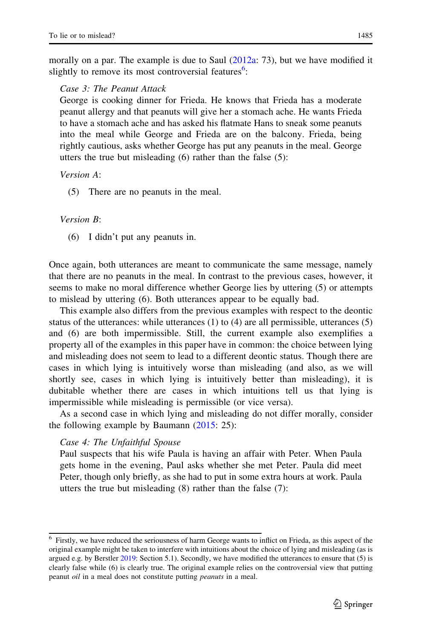morally on a par. The example is due to Saul [\(2012a:](#page-20-0) 73), but we have modified it slightly to remove its most controversial features<sup>6</sup>:

#### Case 3: The Peanut Attack

George is cooking dinner for Frieda. He knows that Frieda has a moderate peanut allergy and that peanuts will give her a stomach ache. He wants Frieda to have a stomach ache and has asked his flatmate Hans to sneak some peanuts into the meal while George and Frieda are on the balcony. Frieda, being rightly cautious, asks whether George has put any peanuts in the meal. George utters the true but misleading (6) rather than the false (5):

Version A:

(5) There are no peanuts in the meal.

#### Version B:

(6) I didn't put any peanuts in.

Once again, both utterances are meant to communicate the same message, namely that there are no peanuts in the meal. In contrast to the previous cases, however, it seems to make no moral difference whether George lies by uttering (5) or attempts to mislead by uttering (6). Both utterances appear to be equally bad.

This example also differs from the previous examples with respect to the deontic status of the utterances: while utterances  $(1)$  to  $(4)$  are all permissible, utterances  $(5)$ and (6) are both impermissible. Still, the current example also exemplifies a property all of the examples in this paper have in common: the choice between lying and misleading does not seem to lead to a different deontic status. Though there are cases in which lying is intuitively worse than misleading (and also, as we will shortly see, cases in which lying is intuitively better than misleading), it is dubitable whether there are cases in which intuitions tell us that lying is impermissible while misleading is permissible (or vice versa).

As a second case in which lying and misleading do not differ morally, consider the following example by Baumann  $(2015: 25)$  $(2015: 25)$ :

#### Case 4: The Unfaithful Spouse

Paul suspects that his wife Paula is having an affair with Peter. When Paula gets home in the evening, Paul asks whether she met Peter. Paula did meet Peter, though only briefly, as she had to put in some extra hours at work. Paula utters the true but misleading (8) rather than the false (7):

<sup>&</sup>lt;sup>6</sup> Firstly, we have reduced the seriousness of harm George wants to inflict on Frieda, as this aspect of the original example might be taken to interfere with intuitions about the choice of lying and misleading (as is argued e.g. by Berstler [2019](#page-19-0): Section 5.1). Secondly, we have modified the utterances to ensure that (5) is clearly false while (6) is clearly true. The original example relies on the controversial view that putting peanut *oil* in a meal does not constitute putting *peanuts* in a meal.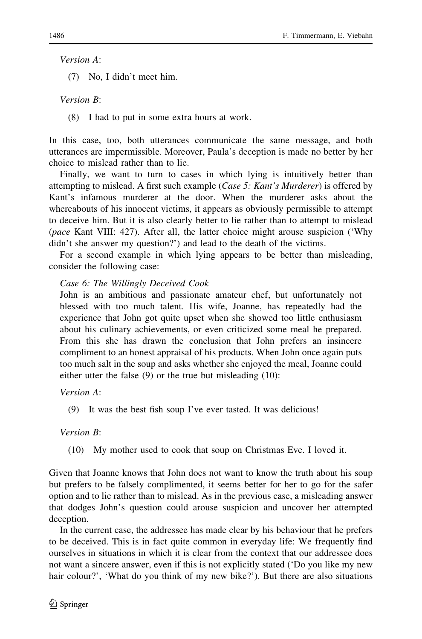Version A:

(7) No, I didn't meet him.

Version B:

(8) I had to put in some extra hours at work.

In this case, too, both utterances communicate the same message, and both utterances are impermissible. Moreover, Paula's deception is made no better by her choice to mislead rather than to lie.

Finally, we want to turn to cases in which lying is intuitively better than attempting to mislead. A first such example (Case 5: Kant's Murderer) is offered by Kant's infamous murderer at the door. When the murderer asks about the whereabouts of his innocent victims, it appears as obviously permissible to attempt to deceive him. But it is also clearly better to lie rather than to attempt to mislead (pace Kant VIII: 427). After all, the latter choice might arouse suspicion ('Why didn't she answer my question?') and lead to the death of the victims.

For a second example in which lying appears to be better than misleading, consider the following case:

## Case 6: The Willingly Deceived Cook

John is an ambitious and passionate amateur chef, but unfortunately not blessed with too much talent. His wife, Joanne, has repeatedly had the experience that John got quite upset when she showed too little enthusiasm about his culinary achievements, or even criticized some meal he prepared. From this she has drawn the conclusion that John prefers an insincere compliment to an honest appraisal of his products. When John once again puts too much salt in the soup and asks whether she enjoyed the meal, Joanne could either utter the false (9) or the true but misleading (10):

Version A:

(9) It was the best fish soup I've ever tasted. It was delicious!

Version B:

(10) My mother used to cook that soup on Christmas Eve. I loved it.

Given that Joanne knows that John does not want to know the truth about his soup but prefers to be falsely complimented, it seems better for her to go for the safer option and to lie rather than to mislead. As in the previous case, a misleading answer that dodges John's question could arouse suspicion and uncover her attempted deception.

In the current case, the addressee has made clear by his behaviour that he prefers to be deceived. This is in fact quite common in everyday life: We frequently find ourselves in situations in which it is clear from the context that our addressee does not want a sincere answer, even if this is not explicitly stated ('Do you like my new hair colour?', 'What do you think of my new bike?'). But there are also situations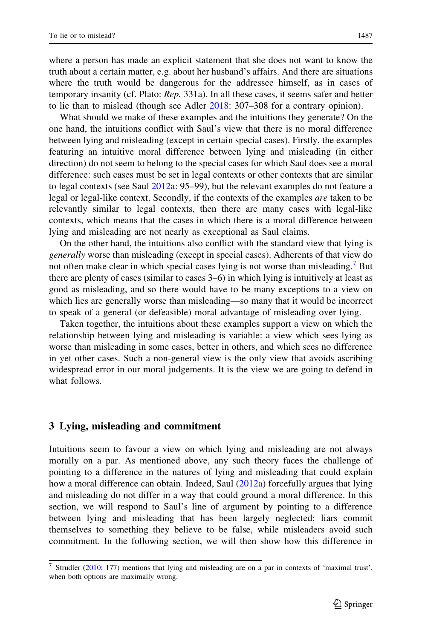where a person has made an explicit statement that she does not want to know the truth about a certain matter, e.g. about her husband's affairs. And there are situations where the truth would be dangerous for the addressee himself, as in cases of temporary insanity (cf. Plato: Rep. 331a). In all these cases, it seems safer and better to lie than to mislead (though see Adler [2018](#page-19-0): 307–308 for a contrary opinion).

What should we make of these examples and the intuitions they generate? On the one hand, the intuitions conflict with Saul's view that there is no moral difference between lying and misleading (except in certain special cases). Firstly, the examples featuring an intuitive moral difference between lying and misleading (in either direction) do not seem to belong to the special cases for which Saul does see a moral difference: such cases must be set in legal contexts or other contexts that are similar to legal contexts (see Saul [2012a](#page-20-0): 95–99), but the relevant examples do not feature a legal or legal-like context. Secondly, if the contexts of the examples *are* taken to be relevantly similar to legal contexts, then there are many cases with legal-like contexts, which means that the cases in which there is a moral difference between lying and misleading are not nearly as exceptional as Saul claims.

On the other hand, the intuitions also conflict with the standard view that lying is generally worse than misleading (except in special cases). Adherents of that view do not often make clear in which special cases lying is not worse than misleading.<sup>7</sup> But there are plenty of cases (similar to cases 3–6) in which lying is intuitively at least as good as misleading, and so there would have to be many exceptions to a view on which lies are generally worse than misleading—so many that it would be incorrect to speak of a general (or defeasible) moral advantage of misleading over lying.

Taken together, the intuitions about these examples support a view on which the relationship between lying and misleading is variable: a view which sees lying as worse than misleading in some cases, better in others, and which sees no difference in yet other cases. Such a non-general view is the only view that avoids ascribing widespread error in our moral judgements. It is the view we are going to defend in what follows.

#### 3 Lying, misleading and commitment

Intuitions seem to favour a view on which lying and misleading are not always morally on a par. As mentioned above, any such theory faces the challenge of pointing to a difference in the natures of lying and misleading that could explain how a moral difference can obtain. Indeed, Saul [\(2012a\)](#page-20-0) forcefully argues that lying and misleading do not differ in a way that could ground a moral difference. In this section, we will respond to Saul's line of argument by pointing to a difference between lying and misleading that has been largely neglected: liars commit themselves to something they believe to be false, while misleaders avoid such commitment. In the following section, we will then show how this difference in

 $\frac{7}{7}$  Strudler [\(2010:](#page-20-0) 177) mentions that lying and misleading are on a par in contexts of 'maximal trust', when both options are maximally wrong.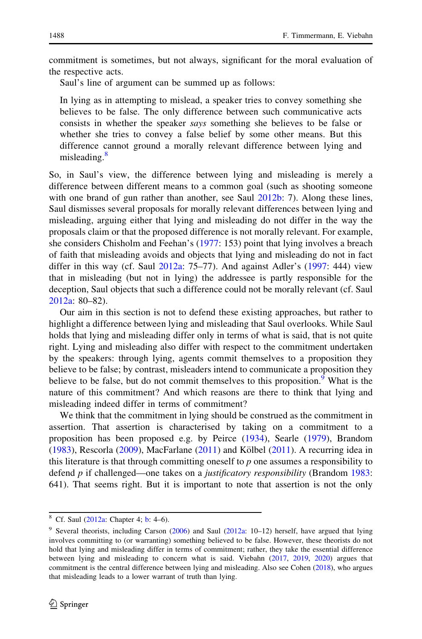commitment is sometimes, but not always, significant for the moral evaluation of the respective acts.

Saul's line of argument can be summed up as follows:

In lying as in attempting to mislead, a speaker tries to convey something she believes to be false. The only difference between such communicative acts consists in whether the speaker says something she believes to be false or whether she tries to convey a false belief by some other means. But this difference cannot ground a morally relevant difference between lying and misleading.<sup>8</sup>

So, in Saul's view, the difference between lying and misleading is merely a difference between different means to a common goal (such as shooting someone with one brand of gun rather than another, see Saul [2012b:](#page-20-0) 7). Along these lines, Saul dismisses several proposals for morally relevant differences between lying and misleading, arguing either that lying and misleading do not differ in the way the proposals claim or that the proposed difference is not morally relevant. For example, she considers Chisholm and Feehan's ([1977:](#page-20-0) 153) point that lying involves a breach of faith that misleading avoids and objects that lying and misleading do not in fact differ in this way (cf. Saul  $2012a$ : 75–77). And against Adler's  $(1997: 444)$  $(1997: 444)$  $(1997: 444)$  view that in misleading (but not in lying) the addressee is partly responsible for the deception, Saul objects that such a difference could not be morally relevant (cf. Saul [2012a](#page-20-0): 80–82).

Our aim in this section is not to defend these existing approaches, but rather to highlight a difference between lying and misleading that Saul overlooks. While Saul holds that lying and misleading differ only in terms of what is said, that is not quite right. Lying and misleading also differ with respect to the commitment undertaken by the speakers: through lying, agents commit themselves to a proposition they believe to be false; by contrast, misleaders intend to communicate a proposition they believe to be false, but do not commit themselves to this proposition.<sup>9</sup> What is the nature of this commitment? And which reasons are there to think that lying and misleading indeed differ in terms of commitment?

We think that the commitment in lying should be construed as the commitment in assertion. That assertion is characterised by taking on a commitment to a proposition has been proposed e.g. by Peirce [\(1934](#page-20-0)), Searle [\(1979\)](#page-20-0), Brandom [\(1983](#page-19-0)), Rescorla [\(2009](#page-20-0)), MacFarlane [\(2011](#page-20-0)) and Kölbel (2011). A recurring idea in this literature is that through committing oneself to  $p$  one assumes a responsibility to defend  $p$  if challenged—one takes on a *justificatory responsibility* (Brandom [1983:](#page-19-0) 641). That seems right. But it is important to note that assertion is not the only

<sup>&</sup>lt;sup>8</sup> Cf. Saul [\(2012a](#page-20-0): Chapter 4; [b](#page-20-0): 4–6).

<sup>&</sup>lt;sup>9</sup> Several theorists, including Carson [\(2006](#page-19-0)) and Saul ([2012a](#page-20-0): 10-12) herself, have argued that lying involves committing to (or warranting) something believed to be false. However, these theorists do not hold that lying and misleading differ in terms of commitment; rather, they take the essential difference between lying and misleading to concern what is said. Viebahn ([2017,](#page-20-0) [2019](#page-20-0), [2020\)](#page-20-0) argues that commitment is the central difference between lying and misleading. Also see Cohen ([2018\)](#page-20-0), who argues that misleading leads to a lower warrant of truth than lying.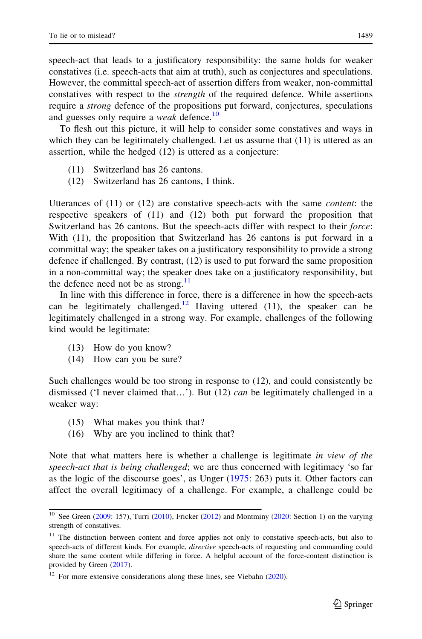speech-act that leads to a justificatory responsibility: the same holds for weaker constatives (i.e. speech-acts that aim at truth), such as conjectures and speculations. However, the committal speech-act of assertion differs from weaker, non-committal constatives with respect to the strength of the required defence. While assertions require a strong defence of the propositions put forward, conjectures, speculations and guesses only require a *weak* defence.<sup>10</sup>

To flesh out this picture, it will help to consider some constatives and ways in which they can be legitimately challenged. Let us assume that  $(11)$  is uttered as an assertion, while the hedged (12) is uttered as a conjecture:

- (11) Switzerland has 26 cantons.
- (12) Switzerland has 26 cantons, I think.

Utterances of  $(11)$  or  $(12)$  are constative speech-acts with the same *content*: the respective speakers of (11) and (12) both put forward the proposition that Switzerland has 26 cantons. But the speech-acts differ with respect to their force: With (11), the proposition that Switzerland has 26 cantons is put forward in a committal way; the speaker takes on a justificatory responsibility to provide a strong defence if challenged. By contrast, (12) is used to put forward the same proposition in a non-committal way; the speaker does take on a justificatory responsibility, but the defence need not be as strong.<sup>11</sup>

In line with this difference in force, there is a difference in how the speech-acts can be legitimately challenged.<sup>12</sup> Having uttered (11), the speaker can be legitimately challenged in a strong way. For example, challenges of the following kind would be legitimate:

- (13) How do you know?
- (14) How can you be sure?

Such challenges would be too strong in response to (12), and could consistently be dismissed ('I never claimed that...'). But (12) can be legitimately challenged in a weaker way:

- (15) What makes you think that?
- (16) Why are you inclined to think that?

Note that what matters here is whether a challenge is legitimate in view of the speech-act that is being challenged; we are thus concerned with legitimacy 'so far as the logic of the discourse goes', as Unger [\(1975](#page-20-0): 263) puts it. Other factors can affect the overall legitimacy of a challenge. For example, a challenge could be

<sup>&</sup>lt;sup>10</sup> See Green [\(2009](#page-20-0): 157), Turri ([2010](#page-20-0)), Fricker ([2012\)](#page-20-0) and Montminy [\(2020](#page-20-0): Section 1) on the varying strength of constatives.

<sup>&</sup>lt;sup>11</sup> The distinction between content and force applies not only to constative speech-acts, but also to speech-acts of different kinds. For example, *directive* speech-acts of requesting and commanding could share the same content while differing in force. A helpful account of the force-content distinction is provided by Green [\(2017](#page-20-0)).

 $12$  For more extensive considerations along these lines, see Viebahn [\(2020](#page-20-0)).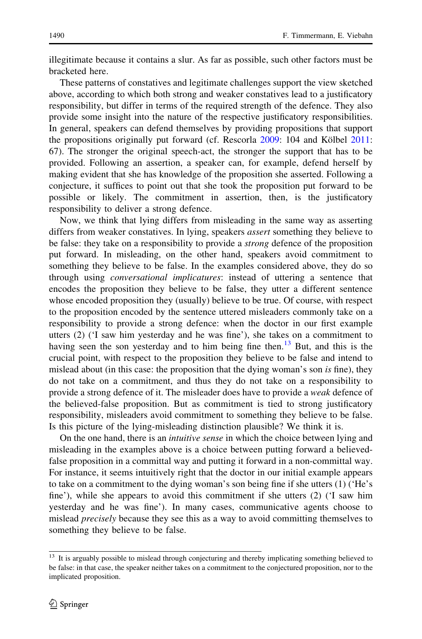illegitimate because it contains a slur. As far as possible, such other factors must be bracketed here.

These patterns of constatives and legitimate challenges support the view sketched above, according to which both strong and weaker constatives lead to a justificatory responsibility, but differ in terms of the required strength of the defence. They also provide some insight into the nature of the respective justificatory responsibilities. In general, speakers can defend themselves by providing propositions that support the propositions originally put forward (cf. Rescorla  $2009$ : 104 and Kölbel  $2011$ : 67). The stronger the original speech-act, the stronger the support that has to be provided. Following an assertion, a speaker can, for example, defend herself by making evident that she has knowledge of the proposition she asserted. Following a conjecture, it suffices to point out that she took the proposition put forward to be possible or likely. The commitment in assertion, then, is the justificatory responsibility to deliver a strong defence.

Now, we think that lying differs from misleading in the same way as asserting differs from weaker constatives. In lying, speakers assert something they believe to be false: they take on a responsibility to provide a *strong* defence of the proposition put forward. In misleading, on the other hand, speakers avoid commitment to something they believe to be false. In the examples considered above, they do so through using conversational implicatures: instead of uttering a sentence that encodes the proposition they believe to be false, they utter a different sentence whose encoded proposition they (usually) believe to be true. Of course, with respect to the proposition encoded by the sentence uttered misleaders commonly take on a responsibility to provide a strong defence: when the doctor in our first example utters (2) ('I saw him yesterday and he was fine'), she takes on a commitment to having seen the son yesterday and to him being fine then.<sup>13</sup> But, and this is the crucial point, with respect to the proposition they believe to be false and intend to mislead about (in this case: the proposition that the dying woman's son is fine), they do not take on a commitment, and thus they do not take on a responsibility to provide a strong defence of it. The misleader does have to provide a weak defence of the believed-false proposition. But as commitment is tied to strong justificatory responsibility, misleaders avoid commitment to something they believe to be false. Is this picture of the lying-misleading distinction plausible? We think it is.

On the one hand, there is an *intuitive sense* in which the choice between lying and misleading in the examples above is a choice between putting forward a believedfalse proposition in a committal way and putting it forward in a non-committal way. For instance, it seems intuitively right that the doctor in our initial example appears to take on a commitment to the dying woman's son being fine if she utters (1) ('He's fine'), while she appears to avoid this commitment if she utters (2) ('I saw him yesterday and he was fine'). In many cases, communicative agents choose to mislead *precisely* because they see this as a way to avoid committing themselves to something they believe to be false.

<sup>&</sup>lt;sup>13</sup> It is arguably possible to mislead through conjecturing and thereby implicating something believed to be false: in that case, the speaker neither takes on a commitment to the conjectured proposition, nor to the implicated proposition.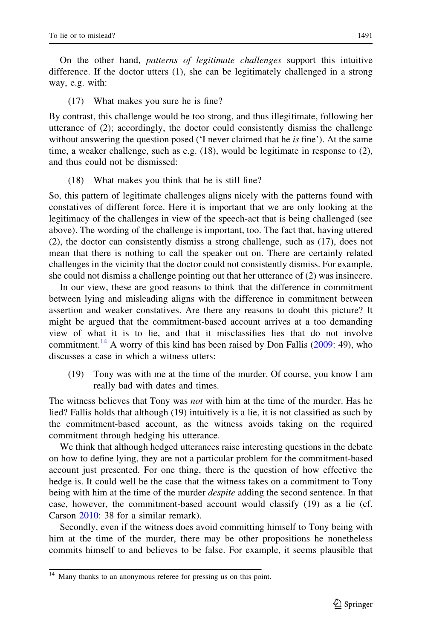On the other hand, patterns of legitimate challenges support this intuitive difference. If the doctor utters (1), she can be legitimately challenged in a strong way, e.g. with:

#### (17) What makes you sure he is fine?

By contrast, this challenge would be too strong, and thus illegitimate, following her utterance of (2); accordingly, the doctor could consistently dismiss the challenge without answering the question posed ('I never claimed that he *is* fine'). At the same time, a weaker challenge, such as e.g. (18), would be legitimate in response to (2), and thus could not be dismissed:

(18) What makes you think that he is still fine?

So, this pattern of legitimate challenges aligns nicely with the patterns found with constatives of different force. Here it is important that we are only looking at the legitimacy of the challenges in view of the speech-act that is being challenged (see above). The wording of the challenge is important, too. The fact that, having uttered (2), the doctor can consistently dismiss a strong challenge, such as (17), does not mean that there is nothing to call the speaker out on. There are certainly related challenges in the vicinity that the doctor could not consistently dismiss. For example, she could not dismiss a challenge pointing out that her utterance of (2) was insincere.

In our view, these are good reasons to think that the difference in commitment between lying and misleading aligns with the difference in commitment between assertion and weaker constatives. Are there any reasons to doubt this picture? It might be argued that the commitment-based account arrives at a too demanding view of what it is to lie, and that it misclassifies lies that do not involve commitment.<sup>14</sup> A worry of this kind has been raised by Don Fallis  $(2009: 49)$  $(2009: 49)$  $(2009: 49)$ , who discusses a case in which a witness utters:

(19) Tony was with me at the time of the murder. Of course, you know I am really bad with dates and times.

The witness believes that Tony was *not* with him at the time of the murder. Has he lied? Fallis holds that although (19) intuitively is a lie, it is not classified as such by the commitment-based account, as the witness avoids taking on the required commitment through hedging his utterance.

We think that although hedged utterances raise interesting questions in the debate on how to define lying, they are not a particular problem for the commitment-based account just presented. For one thing, there is the question of how effective the hedge is. It could well be the case that the witness takes on a commitment to Tony being with him at the time of the murder *despite* adding the second sentence. In that case, however, the commitment-based account would classify (19) as a lie (cf. Carson [2010:](#page-19-0) 38 for a similar remark).

Secondly, even if the witness does avoid committing himself to Tony being with him at the time of the murder, there may be other propositions he nonetheless commits himself to and believes to be false. For example, it seems plausible that

<sup>&</sup>lt;sup>14</sup> Many thanks to an anonymous referee for pressing us on this point.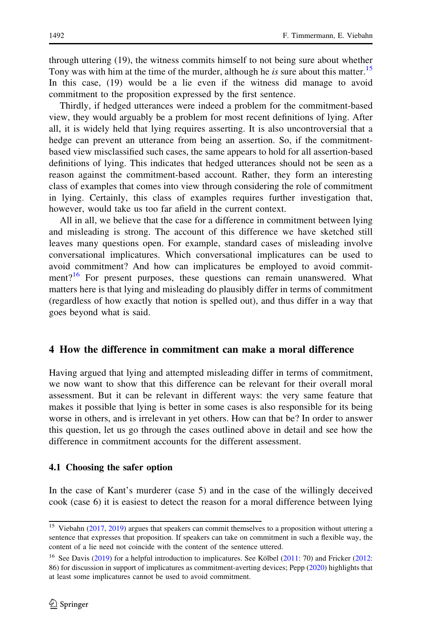through uttering (19), the witness commits himself to not being sure about whether Tony was with him at the time of the murder, although he is sure about this matter.<sup>15</sup> In this case, (19) would be a lie even if the witness did manage to avoid commitment to the proposition expressed by the first sentence.

Thirdly, if hedged utterances were indeed a problem for the commitment-based view, they would arguably be a problem for most recent definitions of lying. After all, it is widely held that lying requires asserting. It is also uncontroversial that a hedge can prevent an utterance from being an assertion. So, if the commitmentbased view misclassified such cases, the same appears to hold for all assertion-based definitions of lying. This indicates that hedged utterances should not be seen as a reason against the commitment-based account. Rather, they form an interesting class of examples that comes into view through considering the role of commitment in lying. Certainly, this class of examples requires further investigation that, however, would take us too far afield in the current context.

All in all, we believe that the case for a difference in commitment between lying and misleading is strong. The account of this difference we have sketched still leaves many questions open. For example, standard cases of misleading involve conversational implicatures. Which conversational implicatures can be used to avoid commitment? And how can implicatures be employed to avoid commitment? $16$  For present purposes, these questions can remain unanswered. What matters here is that lying and misleading do plausibly differ in terms of commitment (regardless of how exactly that notion is spelled out), and thus differ in a way that goes beyond what is said.

## 4 How the difference in commitment can make a moral difference

Having argued that lying and attempted misleading differ in terms of commitment, we now want to show that this difference can be relevant for their overall moral assessment. But it can be relevant in different ways: the very same feature that makes it possible that lying is better in some cases is also responsible for its being worse in others, and is irrelevant in yet others. How can that be? In order to answer this question, let us go through the cases outlined above in detail and see how the difference in commitment accounts for the different assessment.

#### 4.1 Choosing the safer option

In the case of Kant's murderer (case 5) and in the case of the willingly deceived cook (case 6) it is easiest to detect the reason for a moral difference between lying

<sup>&</sup>lt;sup>15</sup> Viebahn ([2017,](#page-20-0) [2019\)](#page-20-0) argues that speakers can commit themselves to a proposition without uttering a sentence that expresses that proposition. If speakers can take on commitment in such a flexible way, the content of a lie need not coincide with the content of the sentence uttered.

<sup>&</sup>lt;sup>16</sup> See Davis [\(2019](#page-20-0)) for a helpful introduction to implicatures. See Kölbel [\(2011](#page-20-0): 70) and Fricker [\(2012](#page-20-0): 86) for discussion in support of implicatures as commitment-averting devices; Pepp [\(2020\)](#page-20-0) highlights that at least some implicatures cannot be used to avoid commitment.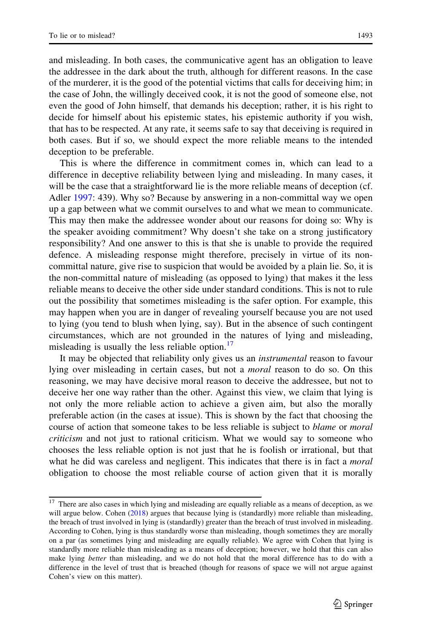and misleading. In both cases, the communicative agent has an obligation to leave the addressee in the dark about the truth, although for different reasons. In the case of the murderer, it is the good of the potential victims that calls for deceiving him; in the case of John, the willingly deceived cook, it is not the good of someone else, not even the good of John himself, that demands his deception; rather, it is his right to decide for himself about his epistemic states, his epistemic authority if you wish, that has to be respected. At any rate, it seems safe to say that deceiving is required in both cases. But if so, we should expect the more reliable means to the intended deception to be preferable.

This is where the difference in commitment comes in, which can lead to a difference in deceptive reliability between lying and misleading. In many cases, it will be the case that a straightforward lie is the more reliable means of deception (cf. Adler [1997](#page-19-0): 439). Why so? Because by answering in a non-committal way we open up a gap between what we commit ourselves to and what we mean to communicate. This may then make the addressee wonder about our reasons for doing so: Why is the speaker avoiding commitment? Why doesn't she take on a strong justificatory responsibility? And one answer to this is that she is unable to provide the required defence. A misleading response might therefore, precisely in virtue of its noncommittal nature, give rise to suspicion that would be avoided by a plain lie. So, it is the non-committal nature of misleading (as opposed to lying) that makes it the less reliable means to deceive the other side under standard conditions. This is not to rule out the possibility that sometimes misleading is the safer option. For example, this may happen when you are in danger of revealing yourself because you are not used to lying (you tend to blush when lying, say). But in the absence of such contingent circumstances, which are not grounded in the natures of lying and misleading, misleading is usually the less reliable option. $\frac{17}{17}$ 

It may be objected that reliability only gives us an instrumental reason to favour lying over misleading in certain cases, but not a *moral* reason to do so. On this reasoning, we may have decisive moral reason to deceive the addressee, but not to deceive her one way rather than the other. Against this view, we claim that lying is not only the more reliable action to achieve a given aim, but also the morally preferable action (in the cases at issue). This is shown by the fact that choosing the course of action that someone takes to be less reliable is subject to *blame* or *moral* criticism and not just to rational criticism. What we would say to someone who chooses the less reliable option is not just that he is foolish or irrational, but that what he did was careless and negligent. This indicates that there is in fact a *moral* obligation to choose the most reliable course of action given that it is morally

 $17$  There are also cases in which lying and misleading are equally reliable as a means of deception, as we will argue below. Cohen ([2018\)](#page-20-0) argues that because lying is (standardly) more reliable than misleading, the breach of trust involved in lying is (standardly) greater than the breach of trust involved in misleading. According to Cohen, lying is thus standardly worse than misleading, though sometimes they are morally on a par (as sometimes lying and misleading are equally reliable). We agree with Cohen that lying is standardly more reliable than misleading as a means of deception; however, we hold that this can also make lying better than misleading, and we do not hold that the moral difference has to do with a difference in the level of trust that is breached (though for reasons of space we will not argue against Cohen's view on this matter).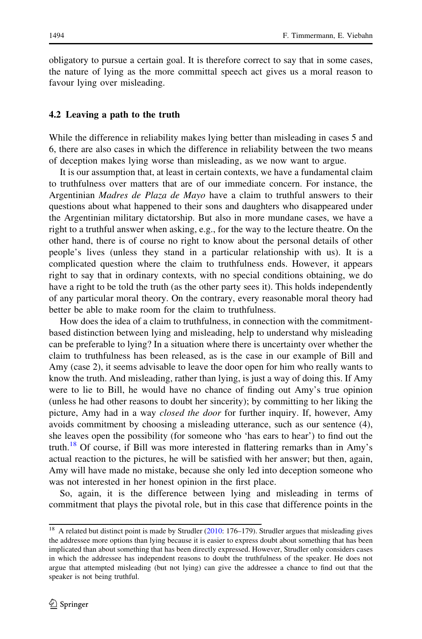obligatory to pursue a certain goal. It is therefore correct to say that in some cases, the nature of lying as the more committal speech act gives us a moral reason to favour lying over misleading.

#### 4.2 Leaving a path to the truth

While the difference in reliability makes lying better than misleading in cases 5 and 6, there are also cases in which the difference in reliability between the two means of deception makes lying worse than misleading, as we now want to argue.

It is our assumption that, at least in certain contexts, we have a fundamental claim to truthfulness over matters that are of our immediate concern. For instance, the Argentinian Madres de Plaza de Mayo have a claim to truthful answers to their questions about what happened to their sons and daughters who disappeared under the Argentinian military dictatorship. But also in more mundane cases, we have a right to a truthful answer when asking, e.g., for the way to the lecture theatre. On the other hand, there is of course no right to know about the personal details of other people's lives (unless they stand in a particular relationship with us). It is a complicated question where the claim to truthfulness ends. However, it appears right to say that in ordinary contexts, with no special conditions obtaining, we do have a right to be told the truth (as the other party sees it). This holds independently of any particular moral theory. On the contrary, every reasonable moral theory had better be able to make room for the claim to truthfulness.

How does the idea of a claim to truthfulness, in connection with the commitmentbased distinction between lying and misleading, help to understand why misleading can be preferable to lying? In a situation where there is uncertainty over whether the claim to truthfulness has been released, as is the case in our example of Bill and Amy (case 2), it seems advisable to leave the door open for him who really wants to know the truth. And misleading, rather than lying, is just a way of doing this. If Amy were to lie to Bill, he would have no chance of finding out Amy's true opinion (unless he had other reasons to doubt her sincerity); by committing to her liking the picture, Amy had in a way *closed the door* for further inquiry. If, however, Amy avoids commitment by choosing a misleading utterance, such as our sentence (4), she leaves open the possibility (for someone who 'has ears to hear') to find out the truth.<sup>18</sup> Of course, if Bill was more interested in flattering remarks than in Amy's actual reaction to the pictures, he will be satisfied with her answer; but then, again, Amy will have made no mistake, because she only led into deception someone who was not interested in her honest opinion in the first place.

So, again, it is the difference between lying and misleading in terms of commitment that plays the pivotal role, but in this case that difference points in the

<sup>&</sup>lt;sup>18</sup> A related but distinct point is made by Strudler [\(2010](#page-20-0): 176–179). Strudler argues that misleading gives the addressee more options than lying because it is easier to express doubt about something that has been implicated than about something that has been directly expressed. However, Strudler only considers cases in which the addressee has independent reasons to doubt the truthfulness of the speaker. He does not argue that attempted misleading (but not lying) can give the addressee a chance to find out that the speaker is not being truthful.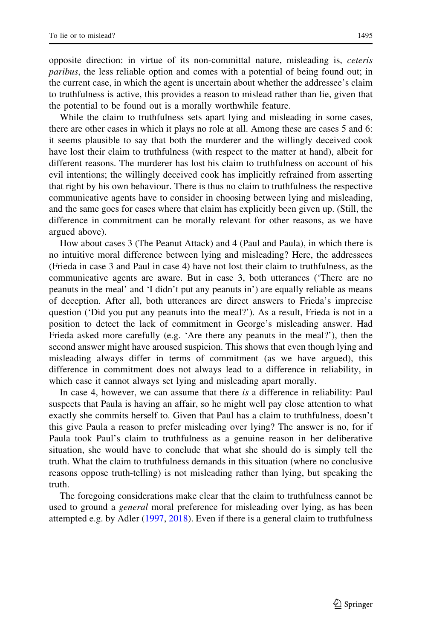opposite direction: in virtue of its non-committal nature, misleading is, ceteris paribus, the less reliable option and comes with a potential of being found out; in the current case, in which the agent is uncertain about whether the addressee's claim to truthfulness is active, this provides a reason to mislead rather than lie, given that the potential to be found out is a morally worthwhile feature.

While the claim to truthfulness sets apart lying and misleading in some cases, there are other cases in which it plays no role at all. Among these are cases 5 and 6: it seems plausible to say that both the murderer and the willingly deceived cook have lost their claim to truthfulness (with respect to the matter at hand), albeit for different reasons. The murderer has lost his claim to truthfulness on account of his evil intentions; the willingly deceived cook has implicitly refrained from asserting that right by his own behaviour. There is thus no claim to truthfulness the respective communicative agents have to consider in choosing between lying and misleading, and the same goes for cases where that claim has explicitly been given up. (Still, the difference in commitment can be morally relevant for other reasons, as we have argued above).

How about cases 3 (The Peanut Attack) and 4 (Paul and Paula), in which there is no intuitive moral difference between lying and misleading? Here, the addressees (Frieda in case 3 and Paul in case 4) have not lost their claim to truthfulness, as the communicative agents are aware. But in case 3, both utterances ('There are no peanuts in the meal' and 'I didn't put any peanuts in') are equally reliable as means of deception. After all, both utterances are direct answers to Frieda's imprecise question ('Did you put any peanuts into the meal?'). As a result, Frieda is not in a position to detect the lack of commitment in George's misleading answer. Had Frieda asked more carefully (e.g. 'Are there any peanuts in the meal?'), then the second answer might have aroused suspicion. This shows that even though lying and misleading always differ in terms of commitment (as we have argued), this difference in commitment does not always lead to a difference in reliability, in which case it cannot always set lying and misleading apart morally.

In case 4, however, we can assume that there is a difference in reliability: Paul suspects that Paula is having an affair, so he might well pay close attention to what exactly she commits herself to. Given that Paul has a claim to truthfulness, doesn't this give Paula a reason to prefer misleading over lying? The answer is no, for if Paula took Paul's claim to truthfulness as a genuine reason in her deliberative situation, she would have to conclude that what she should do is simply tell the truth. What the claim to truthfulness demands in this situation (where no conclusive reasons oppose truth-telling) is not misleading rather than lying, but speaking the truth.

The foregoing considerations make clear that the claim to truthfulness cannot be used to ground a *general* moral preference for misleading over lying, as has been attempted e.g. by Adler ([1997,](#page-19-0) [2018\)](#page-19-0). Even if there is a general claim to truthfulness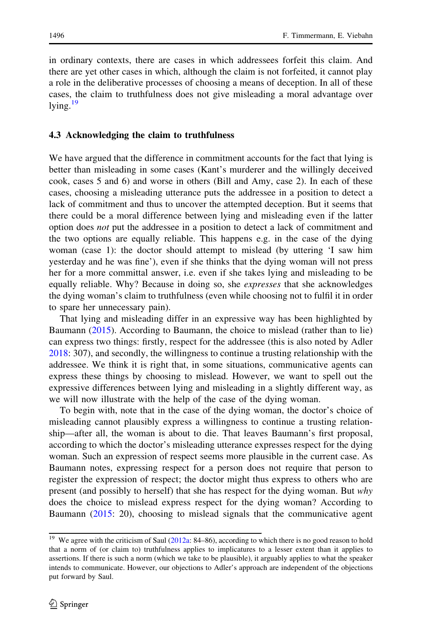in ordinary contexts, there are cases in which addressees forfeit this claim. And there are yet other cases in which, although the claim is not forfeited, it cannot play a role in the deliberative processes of choosing a means of deception. In all of these cases, the claim to truthfulness does not give misleading a moral advantage over lying. $19$ 

# 4.3 Acknowledging the claim to truthfulness

We have argued that the difference in commitment accounts for the fact that lying is better than misleading in some cases (Kant's murderer and the willingly deceived cook, cases 5 and 6) and worse in others (Bill and Amy, case 2). In each of these cases, choosing a misleading utterance puts the addressee in a position to detect a lack of commitment and thus to uncover the attempted deception. But it seems that there could be a moral difference between lying and misleading even if the latter option does not put the addressee in a position to detect a lack of commitment and the two options are equally reliable. This happens e.g. in the case of the dying woman (case 1): the doctor should attempt to mislead (by uttering 'I saw him yesterday and he was fine'), even if she thinks that the dying woman will not press her for a more committal answer, i.e. even if she takes lying and misleading to be equally reliable. Why? Because in doing so, she *expresses* that she acknowledges the dying woman's claim to truthfulness (even while choosing not to fulfil it in order to spare her unnecessary pain).

That lying and misleading differ in an expressive way has been highlighted by Baumann ([2015\)](#page-19-0). According to Baumann, the choice to mislead (rather than to lie) can express two things: firstly, respect for the addressee (this is also noted by Adler [2018:](#page-19-0) 307), and secondly, the willingness to continue a trusting relationship with the addressee. We think it is right that, in some situations, communicative agents can express these things by choosing to mislead. However, we want to spell out the expressive differences between lying and misleading in a slightly different way, as we will now illustrate with the help of the case of the dying woman.

To begin with, note that in the case of the dying woman, the doctor's choice of misleading cannot plausibly express a willingness to continue a trusting relationship—after all, the woman is about to die. That leaves Baumann's first proposal, according to which the doctor's misleading utterance expresses respect for the dying woman. Such an expression of respect seems more plausible in the current case. As Baumann notes, expressing respect for a person does not require that person to register the expression of respect; the doctor might thus express to others who are present (and possibly to herself) that she has respect for the dying woman. But why does the choice to mislead express respect for the dying woman? According to Baumann [\(2015](#page-19-0): 20), choosing to mislead signals that the communicative agent

<sup>&</sup>lt;sup>19</sup> We agree with the criticism of Saul ([2012a](#page-20-0): 84–86), according to which there is no good reason to hold that a norm of (or claim to) truthfulness applies to implicatures to a lesser extent than it applies to assertions. If there is such a norm (which we take to be plausible), it arguably applies to what the speaker intends to communicate. However, our objections to Adler's approach are independent of the objections put forward by Saul.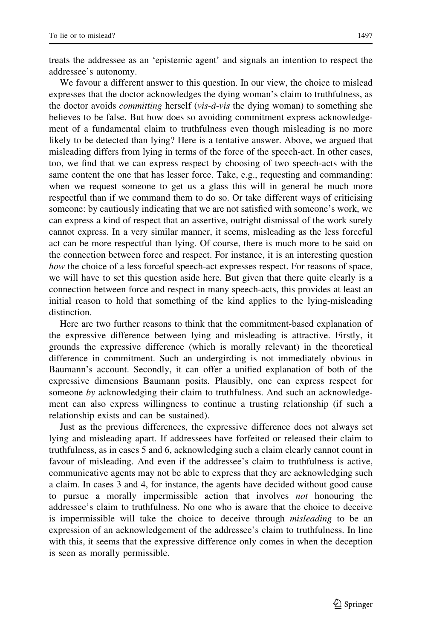treats the addressee as an 'epistemic agent' and signals an intention to respect the addressee's autonomy.

We favour a different answer to this question. In our view, the choice to mislead expresses that the doctor acknowledges the dying woman's claim to truthfulness, as the doctor avoids *committing* herself (*vis-à-vis* the dying woman) to something she believes to be false. But how does so avoiding commitment express acknowledgement of a fundamental claim to truthfulness even though misleading is no more likely to be detected than lying? Here is a tentative answer. Above, we argued that misleading differs from lying in terms of the force of the speech-act. In other cases, too, we find that we can express respect by choosing of two speech-acts with the same content the one that has lesser force. Take, e.g., requesting and commanding: when we request someone to get us a glass this will in general be much more respectful than if we command them to do so. Or take different ways of criticising someone: by cautiously indicating that we are not satisfied with someone's work, we can express a kind of respect that an assertive, outright dismissal of the work surely cannot express. In a very similar manner, it seems, misleading as the less forceful act can be more respectful than lying. Of course, there is much more to be said on the connection between force and respect. For instance, it is an interesting question how the choice of a less forceful speech-act expresses respect. For reasons of space, we will have to set this question aside here. But given that there quite clearly is a connection between force and respect in many speech-acts, this provides at least an initial reason to hold that something of the kind applies to the lying-misleading distinction.

Here are two further reasons to think that the commitment-based explanation of the expressive difference between lying and misleading is attractive. Firstly, it grounds the expressive difference (which is morally relevant) in the theoretical difference in commitment. Such an undergirding is not immediately obvious in Baumann's account. Secondly, it can offer a unified explanation of both of the expressive dimensions Baumann posits. Plausibly, one can express respect for someone by acknowledging their claim to truthfulness. And such an acknowledgement can also express willingness to continue a trusting relationship (if such a relationship exists and can be sustained).

Just as the previous differences, the expressive difference does not always set lying and misleading apart. If addressees have forfeited or released their claim to truthfulness, as in cases 5 and 6, acknowledging such a claim clearly cannot count in favour of misleading. And even if the addressee's claim to truthfulness is active, communicative agents may not be able to express that they are acknowledging such a claim. In cases 3 and 4, for instance, the agents have decided without good cause to pursue a morally impermissible action that involves *not* honouring the addressee's claim to truthfulness. No one who is aware that the choice to deceive is impermissible will take the choice to deceive through *misleading* to be an expression of an acknowledgement of the addressee's claim to truthfulness. In line with this, it seems that the expressive difference only comes in when the deception is seen as morally permissible.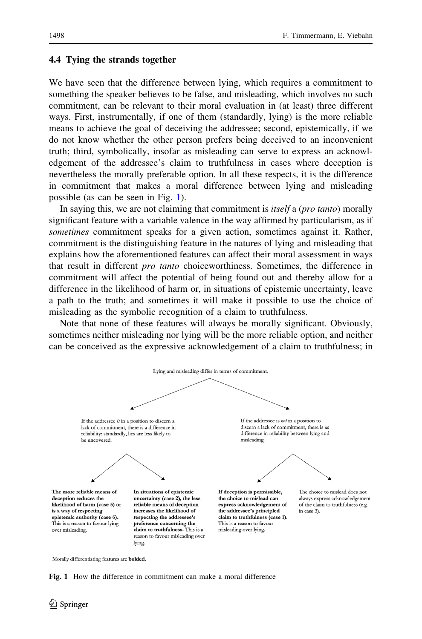#### 4.4 Tying the strands together

We have seen that the difference between lying, which requires a commitment to something the speaker believes to be false, and misleading, which involves no such commitment, can be relevant to their moral evaluation in (at least) three different ways. First, instrumentally, if one of them (standardly, lying) is the more reliable means to achieve the goal of deceiving the addressee; second, epistemically, if we do not know whether the other person prefers being deceived to an inconvenient truth; third, symbolically, insofar as misleading can serve to express an acknowledgement of the addressee's claim to truthfulness in cases where deception is nevertheless the morally preferable option. In all these respects, it is the difference in commitment that makes a moral difference between lying and misleading possible (as can be seen in Fig. 1).

In saying this, we are not claiming that commitment is *itself* a (*pro tanto*) morally significant feature with a variable valence in the way affirmed by particularism, as if sometimes commitment speaks for a given action, sometimes against it. Rather, commitment is the distinguishing feature in the natures of lying and misleading that explains how the aforementioned features can affect their moral assessment in ways that result in different *pro tanto* choiceworthiness. Sometimes, the difference in commitment will affect the potential of being found out and thereby allow for a difference in the likelihood of harm or, in situations of epistemic uncertainty, leave a path to the truth; and sometimes it will make it possible to use the choice of misleading as the symbolic recognition of a claim to truthfulness.

Note that none of these features will always be morally significant. Obviously, sometimes neither misleading nor lying will be the more reliable option, and neither can be conceived as the expressive acknowledgement of a claim to truthfulness; in



Morally differentiating features are bolded.

Fig. 1 How the difference in commitment can make a moral difference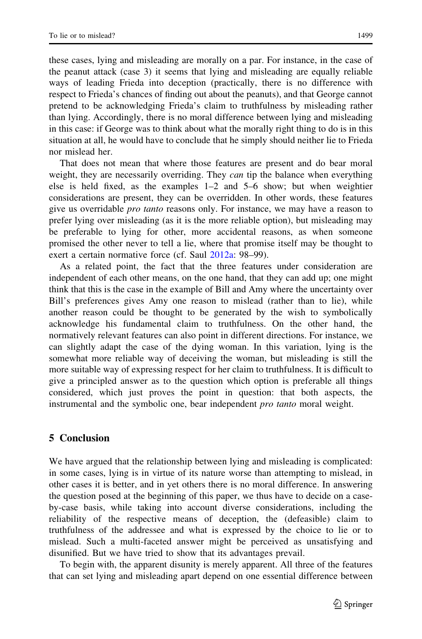these cases, lying and misleading are morally on a par. For instance, in the case of the peanut attack (case 3) it seems that lying and misleading are equally reliable ways of leading Frieda into deception (practically, there is no difference with respect to Frieda's chances of finding out about the peanuts), and that George cannot pretend to be acknowledging Frieda's claim to truthfulness by misleading rather than lying. Accordingly, there is no moral difference between lying and misleading in this case: if George was to think about what the morally right thing to do is in this situation at all, he would have to conclude that he simply should neither lie to Frieda nor mislead her.

That does not mean that where those features are present and do bear moral weight, they are necessarily overriding. They *can* tip the balance when everything else is held fixed, as the examples 1–2 and 5–6 show; but when weightier considerations are present, they can be overridden. In other words, these features give us overridable *pro tanto* reasons only. For instance, we may have a reason to prefer lying over misleading (as it is the more reliable option), but misleading may be preferable to lying for other, more accidental reasons, as when someone promised the other never to tell a lie, where that promise itself may be thought to exert a certain normative force (cf. Saul [2012a](#page-20-0): 98–99).

As a related point, the fact that the three features under consideration are independent of each other means, on the one hand, that they can add up; one might think that this is the case in the example of Bill and Amy where the uncertainty over Bill's preferences gives Amy one reason to mislead (rather than to lie), while another reason could be thought to be generated by the wish to symbolically acknowledge his fundamental claim to truthfulness. On the other hand, the normatively relevant features can also point in different directions. For instance, we can slightly adapt the case of the dying woman. In this variation, lying is the somewhat more reliable way of deceiving the woman, but misleading is still the more suitable way of expressing respect for her claim to truthfulness. It is difficult to give a principled answer as to the question which option is preferable all things considered, which just proves the point in question: that both aspects, the instrumental and the symbolic one, bear independent *pro tanto* moral weight.

# 5 Conclusion

We have argued that the relationship between lying and misleading is complicated: in some cases, lying is in virtue of its nature worse than attempting to mislead, in other cases it is better, and in yet others there is no moral difference. In answering the question posed at the beginning of this paper, we thus have to decide on a caseby-case basis, while taking into account diverse considerations, including the reliability of the respective means of deception, the (defeasible) claim to truthfulness of the addressee and what is expressed by the choice to lie or to mislead. Such a multi-faceted answer might be perceived as unsatisfying and disunified. But we have tried to show that its advantages prevail.

To begin with, the apparent disunity is merely apparent. All three of the features that can set lying and misleading apart depend on one essential difference between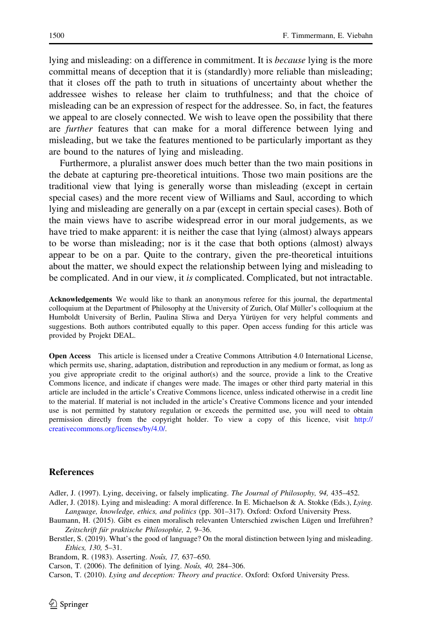<span id="page-19-0"></span>lying and misleading: on a difference in commitment. It is *because* lying is the more committal means of deception that it is (standardly) more reliable than misleading; that it closes off the path to truth in situations of uncertainty about whether the addressee wishes to release her claim to truthfulness; and that the choice of misleading can be an expression of respect for the addressee. So, in fact, the features we appeal to are closely connected. We wish to leave open the possibility that there are *further* features that can make for a moral difference between lying and misleading, but we take the features mentioned to be particularly important as they are bound to the natures of lying and misleading.

Furthermore, a pluralist answer does much better than the two main positions in the debate at capturing pre-theoretical intuitions. Those two main positions are the traditional view that lying is generally worse than misleading (except in certain special cases) and the more recent view of Williams and Saul, according to which lying and misleading are generally on a par (except in certain special cases). Both of the main views have to ascribe widespread error in our moral judgements, as we have tried to make apparent: it is neither the case that lying (almost) always appears to be worse than misleading; nor is it the case that both options (almost) always appear to be on a par. Quite to the contrary, given the pre-theoretical intuitions about the matter, we should expect the relationship between lying and misleading to be complicated. And in our view, it is complicated. Complicated, but not intractable.

Acknowledgements We would like to thank an anonymous referee for this journal, the departmental colloquium at the Department of Philosophy at the University of Zurich, Olaf Müller's colloquium at the Humboldt University of Berlin, Paulina Sliwa and Derya Yürüyen for very helpful comments and suggestions. Both authors contributed equally to this paper. Open access funding for this article was provided by Projekt DEAL.

Open Access This article is licensed under a Creative Commons Attribution 4.0 International License, which permits use, sharing, adaptation, distribution and reproduction in any medium or format, as long as you give appropriate credit to the original author(s) and the source, provide a link to the Creative Commons licence, and indicate if changes were made. The images or other third party material in this article are included in the article's Creative Commons licence, unless indicated otherwise in a credit line to the material. If material is not included in the article's Creative Commons licence and your intended use is not permitted by statutory regulation or exceeds the permitted use, you will need to obtain permission directly from the copyright holder. To view a copy of this licence, visit [http://](http://creativecommons.org/licenses/by/4.0/) [creativecommons.org/licenses/by/4.0/.](http://creativecommons.org/licenses/by/4.0/)

#### **References**

Adler, J. (1997). Lying, deceiving, or falsely implicating. The Journal of Philosophy, 94, 435–452.

Adler, J. (2018). Lying and misleading: A moral difference. In E. Michaelson & A. Stokke (Eds.), Lying. Language, knowledge, ethics, and politics (pp. 301–317). Oxford: Oxford University Press.

Baumann, H. (2015). Gibt es einen moralisch relevanten Unterschied zwischen Lügen und Irreführen? Zeitschrift für praktische Philosophie, 2, 9-36.

Berstler, S. (2019). What's the good of language? On the moral distinction between lying and misleading. Ethics, 130, 5–31.

Brandom, R. (1983). Asserting. Nouîs, 17, 637-650.

Carson, T. (2006). The definition of lying. *Nou*<sup>s</sup>s, 40, 284–306.

Carson, T. (2010). Lying and deception: Theory and practice. Oxford: Oxford University Press.